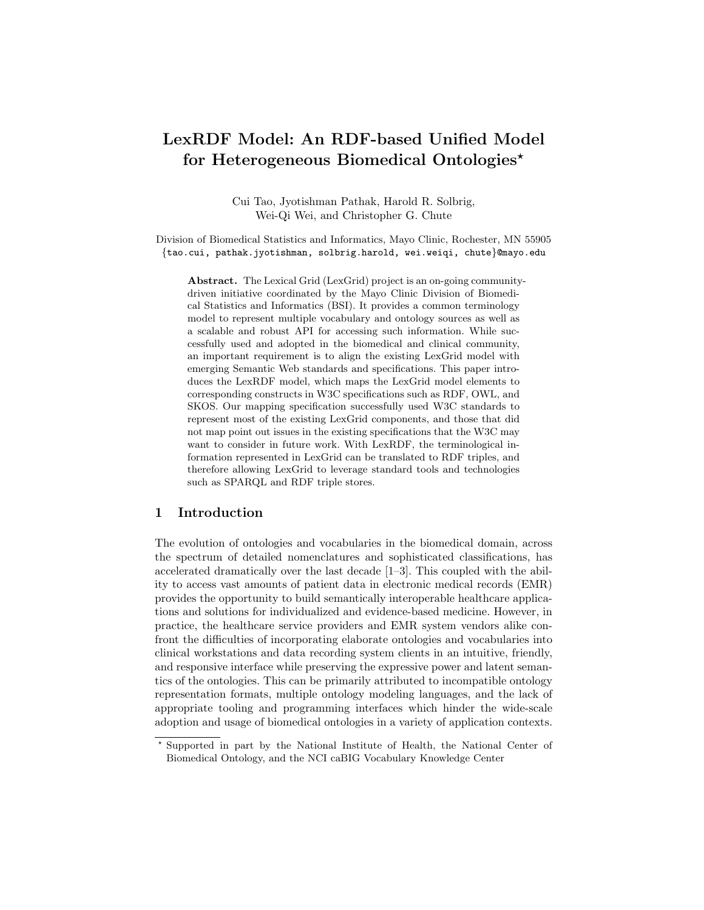# LexRDF Model: An RDF-based Unified Model for Heterogeneous Biomedical Ontologies<sup>\*</sup>

Cui Tao, Jyotishman Pathak, Harold R. Solbrig, Wei-Qi Wei, and Christopher G. Chute

Division of Biomedical Statistics and Informatics, Mayo Clinic, Rochester, MN 55905 {tao.cui, pathak.jyotishman, solbrig.harold, wei.weiqi, chute}@mayo.edu

Abstract. The Lexical Grid (LexGrid) project is an on-going communitydriven initiative coordinated by the Mayo Clinic Division of Biomedical Statistics and Informatics (BSI). It provides a common terminology model to represent multiple vocabulary and ontology sources as well as a scalable and robust API for accessing such information. While successfully used and adopted in the biomedical and clinical community, an important requirement is to align the existing LexGrid model with emerging Semantic Web standards and specifications. This paper introduces the LexRDF model, which maps the LexGrid model elements to corresponding constructs in W3C specifications such as RDF, OWL, and SKOS. Our mapping specification successfully used W3C standards to represent most of the existing LexGrid components, and those that did not map point out issues in the existing specifications that the W3C may want to consider in future work. With LexRDF, the terminological information represented in LexGrid can be translated to RDF triples, and therefore allowing LexGrid to leverage standard tools and technologies such as SPARQL and RDF triple stores.

# 1 Introduction

The evolution of ontologies and vocabularies in the biomedical domain, across the spectrum of detailed nomenclatures and sophisticated classifications, has accelerated dramatically over the last decade [1–3]. This coupled with the ability to access vast amounts of patient data in electronic medical records (EMR) provides the opportunity to build semantically interoperable healthcare applications and solutions for individualized and evidence-based medicine. However, in practice, the healthcare service providers and EMR system vendors alike confront the difficulties of incorporating elaborate ontologies and vocabularies into clinical workstations and data recording system clients in an intuitive, friendly, and responsive interface while preserving the expressive power and latent semantics of the ontologies. This can be primarily attributed to incompatible ontology representation formats, multiple ontology modeling languages, and the lack of appropriate tooling and programming interfaces which hinder the wide-scale adoption and usage of biomedical ontologies in a variety of application contexts.

<sup>?</sup> Supported in part by the National Institute of Health, the National Center of Biomedical Ontology, and the NCI caBIG Vocabulary Knowledge Center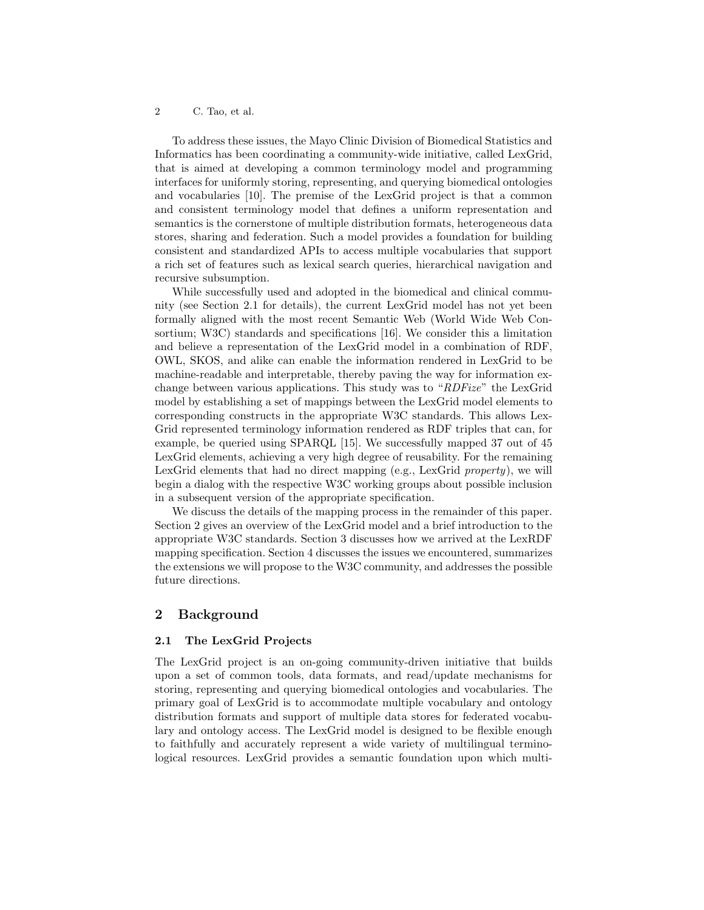To address these issues, the Mayo Clinic Division of Biomedical Statistics and Informatics has been coordinating a community-wide initiative, called LexGrid, that is aimed at developing a common terminology model and programming interfaces for uniformly storing, representing, and querying biomedical ontologies and vocabularies [10]. The premise of the LexGrid project is that a common and consistent terminology model that defines a uniform representation and semantics is the cornerstone of multiple distribution formats, heterogeneous data stores, sharing and federation. Such a model provides a foundation for building consistent and standardized APIs to access multiple vocabularies that support a rich set of features such as lexical search queries, hierarchical navigation and recursive subsumption.

While successfully used and adopted in the biomedical and clinical community (see Section 2.1 for details), the current LexGrid model has not yet been formally aligned with the most recent Semantic Web (World Wide Web Consortium; W3C) standards and specifications [16]. We consider this a limitation and believe a representation of the LexGrid model in a combination of RDF, OWL, SKOS, and alike can enable the information rendered in LexGrid to be machine-readable and interpretable, thereby paving the way for information exchange between various applications. This study was to "RDFize" the LexGrid model by establishing a set of mappings between the LexGrid model elements to corresponding constructs in the appropriate W3C standards. This allows Lex-Grid represented terminology information rendered as RDF triples that can, for example, be queried using SPARQL [15]. We successfully mapped 37 out of 45 LexGrid elements, achieving a very high degree of reusability. For the remaining LexGrid elements that had no direct mapping (e.g., LexGrid property), we will begin a dialog with the respective W3C working groups about possible inclusion in a subsequent version of the appropriate specification.

We discuss the details of the mapping process in the remainder of this paper. Section 2 gives an overview of the LexGrid model and a brief introduction to the appropriate W3C standards. Section 3 discusses how we arrived at the LexRDF mapping specification. Section 4 discusses the issues we encountered, summarizes the extensions we will propose to the W3C community, and addresses the possible future directions.

# 2 Background

#### 2.1 The LexGrid Projects

The LexGrid project is an on-going community-driven initiative that builds upon a set of common tools, data formats, and read/update mechanisms for storing, representing and querying biomedical ontologies and vocabularies. The primary goal of LexGrid is to accommodate multiple vocabulary and ontology distribution formats and support of multiple data stores for federated vocabulary and ontology access. The LexGrid model is designed to be flexible enough to faithfully and accurately represent a wide variety of multilingual terminological resources. LexGrid provides a semantic foundation upon which multi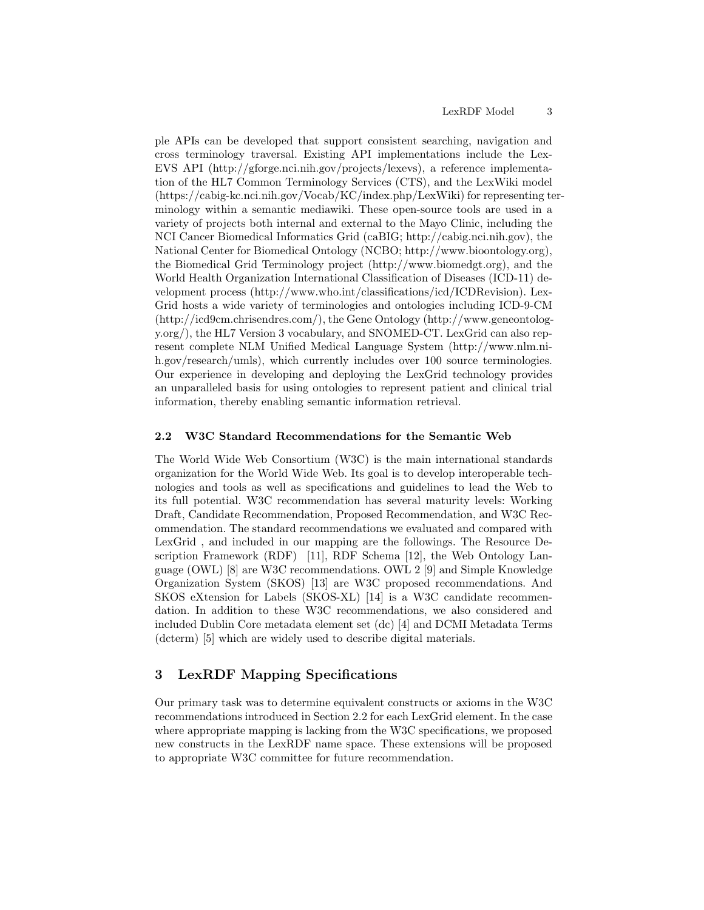ple APIs can be developed that support consistent searching, navigation and cross terminology traversal. Existing API implementations include the Lex-EVS API (http://gforge.nci.nih.gov/projects/lexevs), a reference implementation of the HL7 Common Terminology Services (CTS), and the LexWiki model (https://cabig-kc.nci.nih.gov/Vocab/KC/index.php/LexWiki) for representing terminology within a semantic mediawiki. These open-source tools are used in a variety of projects both internal and external to the Mayo Clinic, including the NCI Cancer Biomedical Informatics Grid (caBIG; http://cabig.nci.nih.gov), the National Center for Biomedical Ontology (NCBO; http://www.bioontology.org), the Biomedical Grid Terminology project (http://www.biomedgt.org), and the World Health Organization International Classification of Diseases (ICD-11) development process (http://www.who.int/classifications/icd/ICDRevision). Lex-Grid hosts a wide variety of terminologies and ontologies including ICD-9-CM (http://icd9cm.chrisendres.com/), the Gene Ontology (http://www.geneontology.org/), the HL7 Version 3 vocabulary, and SNOMED-CT. LexGrid can also represent complete NLM Unified Medical Language System (http://www.nlm.nih.gov/research/umls), which currently includes over 100 source terminologies. Our experience in developing and deploying the LexGrid technology provides an unparalleled basis for using ontologies to represent patient and clinical trial information, thereby enabling semantic information retrieval.

#### 2.2 W3C Standard Recommendations for the Semantic Web

The World Wide Web Consortium (W3C) is the main international standards organization for the World Wide Web. Its goal is to develop interoperable technologies and tools as well as specifications and guidelines to lead the Web to its full potential. W3C recommendation has several maturity levels: Working Draft, Candidate Recommendation, Proposed Recommendation, and W3C Recommendation. The standard recommendations we evaluated and compared with LexGrid , and included in our mapping are the followings. The Resource Description Framework (RDF) [11], RDF Schema [12], the Web Ontology Language (OWL) [8] are W3C recommendations. OWL 2 [9] and Simple Knowledge Organization System (SKOS) [13] are W3C proposed recommendations. And SKOS eXtension for Labels (SKOS-XL) [14] is a W3C candidate recommendation. In addition to these W3C recommendations, we also considered and included Dublin Core metadata element set (dc) [4] and DCMI Metadata Terms (dcterm) [5] which are widely used to describe digital materials.

# 3 LexRDF Mapping Specifications

Our primary task was to determine equivalent constructs or axioms in the W3C recommendations introduced in Section 2.2 for each LexGrid element. In the case where appropriate mapping is lacking from the W3C specifications, we proposed new constructs in the LexRDF name space. These extensions will be proposed to appropriate W3C committee for future recommendation.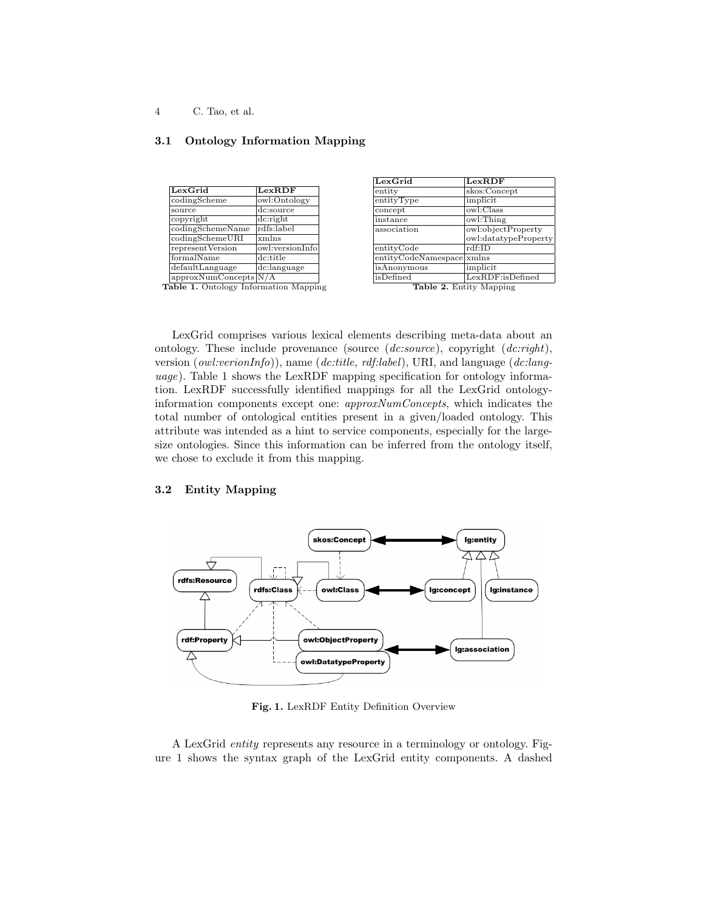# 3.1 Ontology Information Mapping

| LexGrid               | LexRDF                            |
|-----------------------|-----------------------------------|
| codingScheme          | owl:Ontology                      |
| source                | dc:source                         |
| copyright             | dc: right                         |
| codingSchemeName      | rdfs:label                        |
| codingSchemeURI       | xmlns                             |
| representVersion      | owl:versionInfo                   |
| formalName            | dc:title                          |
| defaultLanguage       | $\overline{\text{dc}}$ : language |
| approxNumConcepts N/A |                                   |

| LexGrid                   | LexRDF                     |  |
|---------------------------|----------------------------|--|
| entity                    | skos:Concept               |  |
| entityType                | implicit                   |  |
| concept                   | owl:Class                  |  |
| instance                  | owl:Thing                  |  |
| association               | owl:objectProperty         |  |
|                           | owl:datatypeProperty       |  |
| entityCode                | $\overline{\text{rdf:ID}}$ |  |
| entityCodeNamespace xmlns |                            |  |
| isAnonymous               | implicit                   |  |
| isDefined                 | LexRDF:isDefined           |  |
| Table 2. Entity Mapping   |                            |  |

Table 1. Ontology Information Mapping

LexGrid comprises various lexical elements describing meta-data about an ontology. These include provenance (source  $(dc:source)$ , copyright  $(dc::right)$ , version (owl:verionInfo)), name (dc:title, rdf:label), URI, and language (dc:language). Table 1 shows the LexRDF mapping specification for ontology information. LexRDF successfully identified mappings for all the LexGrid ontologyinformation components except one: approxNumConcepts, which indicates the total number of ontological entities present in a given/loaded ontology. This attribute was intended as a hint to service components, especially for the largesize ontologies. Since this information can be inferred from the ontology itself, we chose to exclude it from this mapping.

### 3.2 Entity Mapping



Fig. 1. LexRDF Entity Definition Overview

A LexGrid entity represents any resource in a terminology or ontology. Figure 1 shows the syntax graph of the LexGrid entity components. A dashed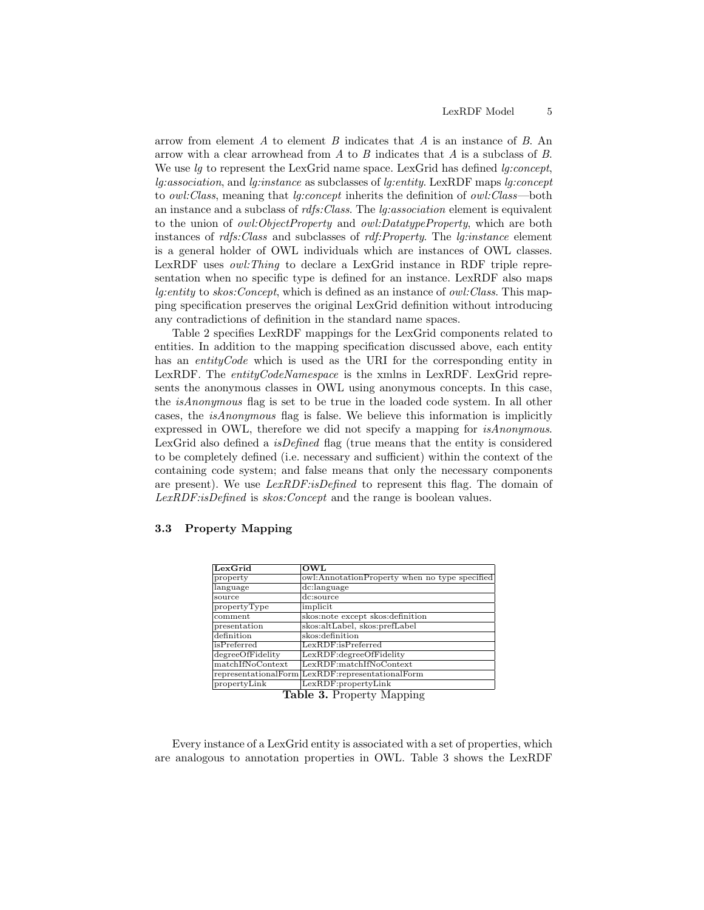arrow from element A to element B indicates that A is an instance of B. An arrow with a clear arrowhead from  $A$  to  $B$  indicates that  $A$  is a subclass of  $B$ . We use  $l_q$  to represent the LexGrid name space. LexGrid has defined  $l_q: concept$ , lg:association, and lg:instance as subclasses of lg:entity. LexRDF maps lg:concept to *owl:Class*, meaning that *lg:concept* inherits the definition of *owl:Class*—both an instance and a subclass of  $rdfs:Class.$  The  $lg:association$  element is equivalent to the union of *owl:ObjectProperty* and *owl:DatatypeProperty*, which are both instances of rdfs:Class and subclasses of rdf:Property. The lg:instance element is a general holder of OWL individuals which are instances of OWL classes. LexRDF uses *owl: Thing* to declare a LexGrid instance in RDF triple representation when no specific type is defined for an instance. LexRDF also maps lg:entity to skos:Concept, which is defined as an instance of owl:Class. This mapping specification preserves the original LexGrid definition without introducing any contradictions of definition in the standard name spaces.

Table 2 specifies LexRDF mappings for the LexGrid components related to entities. In addition to the mapping specification discussed above, each entity has an *entityCode* which is used as the URI for the corresponding entity in LexRDF. The entityCodeNamespace is the xmlns in LexRDF. LexGrid represents the anonymous classes in OWL using anonymous concepts. In this case, the isAnonymous flag is set to be true in the loaded code system. In all other cases, the isAnonymous flag is false. We believe this information is implicitly expressed in OWL, therefore we did not specify a mapping for isAnonymous. LexGrid also defined a *isDefined* flag (true means that the entity is considered to be completely defined (i.e. necessary and sufficient) within the context of the containing code system; and false means that only the necessary components are present). We use *LexRDF:isDefined* to represent this flag. The domain of LexRDF:isDefined is skos: Concept and the range is boolean values.

# 3.3 Property Mapping

| LexGrid          | OWL                                              |
|------------------|--------------------------------------------------|
| property         | owl:AnnotationProperty when no type specified    |
| language         | dc:language                                      |
| source           | dc:source                                        |
| propertyType     | implicit                                         |
| comment          | skos:note except skos:definition                 |
| presentation     | skos:altLabel, skos:prefLabel                    |
| definition       | skos:definition                                  |
| isPreferred      | LexRDF:isPreferred                               |
| degreeOfFidelity | LexRDF:degreeOfFidelity                          |
| matchIfNoContext | LexRDF:matchIfNoContext                          |
|                  | representationalForm LexRDF:representationalForm |
| propertyLink     | LexRDF:propertyLink                              |

Table 3. Property Mapping

Every instance of a LexGrid entity is associated with a set of properties, which are analogous to annotation properties in OWL. Table 3 shows the LexRDF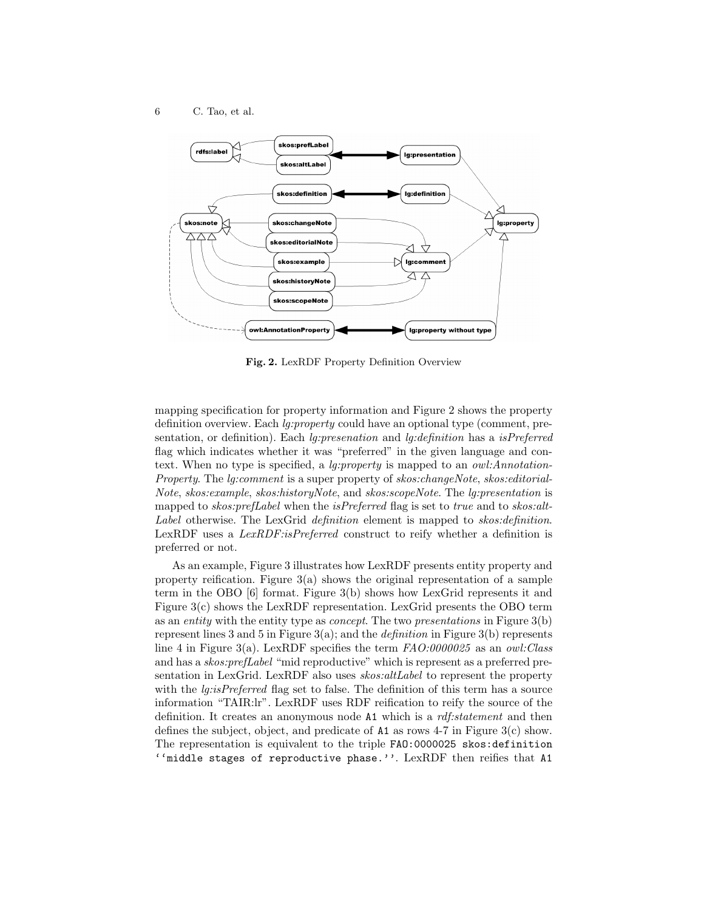

Fig. 2. LexRDF Property Definition Overview

mapping specification for property information and Figure 2 shows the property definition overview. Each *lg:property* could have an optional type (comment, presentation, or definition). Each lg:presenation and lg:definition has a isPreferred flag which indicates whether it was "preferred" in the given language and context. When no type is specified, a *lg:property* is mapped to an *owl:Annotation*-Property. The lg:comment is a super property of skos:changeNote, skos:editorial-Note, skos:example, skos:historyNote, and skos:scopeNote. The lg:presentation is mapped to skos: prefLabel when the isPreferred flag is set to true and to skos: alt-Label otherwise. The LexGrid *definition* element is mapped to *skos:definition*. LexRDF uses a *LexRDF:isPreferred* construct to reify whether a definition is preferred or not.

As an example, Figure 3 illustrates how LexRDF presents entity property and property reification. Figure  $3(a)$  shows the original representation of a sample term in the OBO [6] format. Figure 3(b) shows how LexGrid represents it and Figure 3(c) shows the LexRDF representation. LexGrid presents the OBO term as an entity with the entity type as concept. The two presentations in Figure 3(b) represent lines 3 and 5 in Figure  $3(a)$ ; and the *definition* in Figure  $3(b)$  represents line 4 in Figure 3(a). LexRDF specifies the term  $FAO:0000025$  as an owl: Class and has a skos:prefLabel "mid reproductive" which is represent as a preferred presentation in LexGrid. LexRDF also uses *skos:altLabel* to represent the property with the *lg:isPreferred* flag set to false. The definition of this term has a source information "TAIR:lr". LexRDF uses RDF reification to reify the source of the definition. It creates an anonymous node A1 which is a *rdf:statement* and then defines the subject, object, and predicate of  $A1$  as rows 4-7 in Figure 3(c) show. The representation is equivalent to the triple FAO:0000025 skos:definition ''middle stages of reproductive phase.''. LexRDF then reifies that A1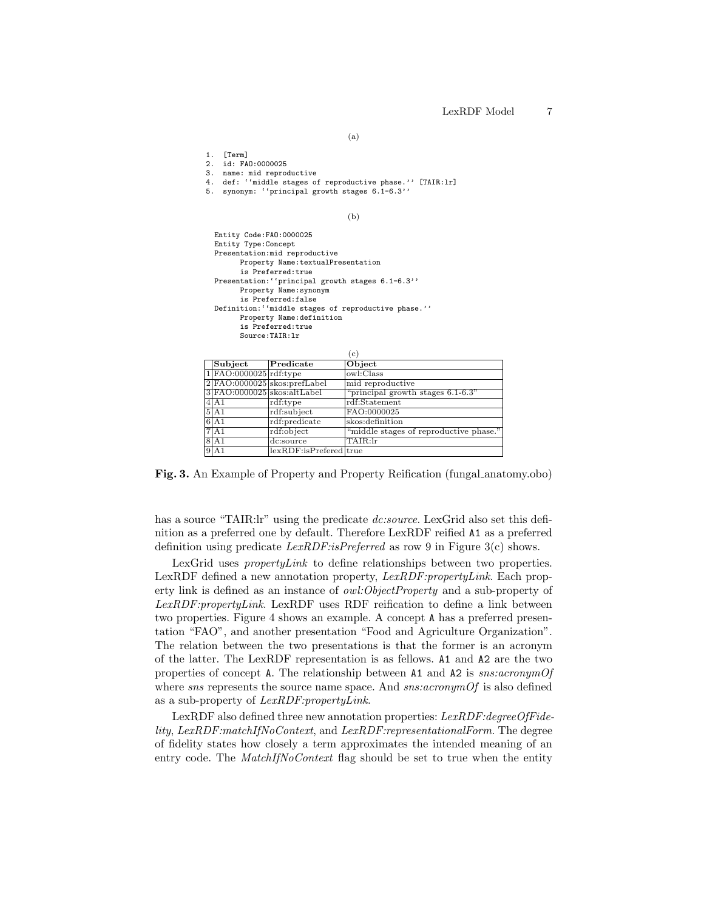(a)

1. [Term]

- 2. id: FAO:0000025
- 3. name: mid reproductive
- 4. def: ''middle stages of reproductive phase.'' [TAIR:lr]
- 5. synonym: ''principal growth stages 6.1-6.3''

(b)

| Entity Code: FA0: 0000025                            |  |  |  |
|------------------------------------------------------|--|--|--|
| Entity Type: Concept                                 |  |  |  |
| Presentation: mid reproductive                       |  |  |  |
| Property Name: textualPresentation                   |  |  |  |
| is Preferred:true                                    |  |  |  |
| Presentation: "principal growth stages 6.1-6.3"      |  |  |  |
| Property Name: synonym                               |  |  |  |
| is Preferred:false                                   |  |  |  |
| Definition: ''middle stages of reproductive phase.'' |  |  |  |
| Property Name: definition                            |  |  |  |
| is Preferred:true                                    |  |  |  |
| Source: TATR: Ir                                     |  |  |  |
|                                                      |  |  |  |

|                             |                              | $\epsilon$ )                           |
|-----------------------------|------------------------------|----------------------------------------|
| Subject                     | Predicate                    | Object                                 |
| $1$ FAO:0000025 $rdf:type$  |                              | owl:Class                              |
|                             | 2 FAO:0000025 skos:prefLabel | mid reproductive                       |
| 3 FAO:0000025 skos:altLabel |                              | "principal growth stages $6.1-6.3$ "   |
| 4A1                         | rdf:type                     | rdf:Statement                          |
| 5 A1                        | rdf:subject                  | FAO:0000025                            |
| 6 A1                        | rdf:predicate                | skos:definition                        |
| 7A1                         | rdf:object                   | "middle stages of reproductive phase." |
| 8 A 1                       | dc:source                    | TAIR:lr                                |
| 9 A1                        | lexRDF:isPrefered true       |                                        |

Fig. 3. An Example of Property and Property Reification (fungal anatomy.obo)

has a source "TAIR:lr" using the predicate *dc:source*. LexGrid also set this definition as a preferred one by default. Therefore LexRDF reified A1 as a preferred definition using predicate *LexRDF:isPreferred* as row 9 in Figure 3(c) shows.

LexGrid uses *propertyLink* to define relationships between two properties. LexRDF defined a new annotation property,  $LexRDF: propertyLink$ . Each property link is defined as an instance of owl:ObjectProperty and a sub-property of LexRDF:propertyLink. LexRDF uses RDF reification to define a link between two properties. Figure 4 shows an example. A concept A has a preferred presentation "FAO", and another presentation "Food and Agriculture Organization". The relation between the two presentations is that the former is an acronym of the latter. The LexRDF representation is as fellows. A1 and A2 are the two properties of concept A. The relationship between A1 and A2 is sns:acronymOf where  $sns$  represents the source name space. And  $sns:acronymOf$  is also defined as a sub-property of LexRDF:propertyLink.

LexRDF also defined three new annotation properties: LexRDF:degreeOfFidelity, LexRDF:matchIfNoContext, and LexRDF:representationalForm. The degree of fidelity states how closely a term approximates the intended meaning of an entry code. The MatchIfNoContext flag should be set to true when the entity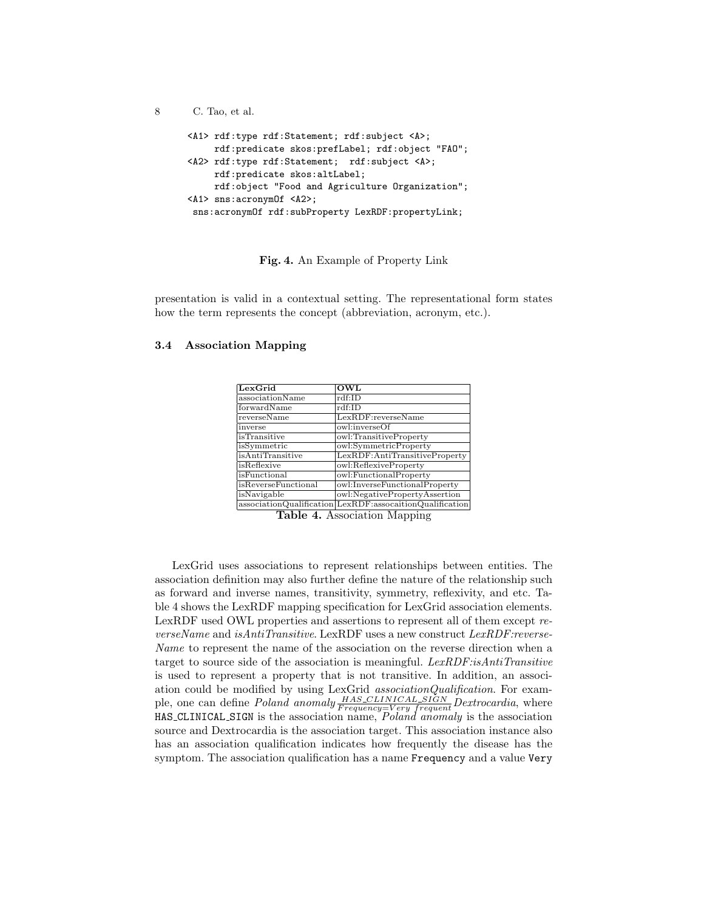```
8 C. Tao, et al.
<A1> rdf:type rdf:Statement; rdf:subject <A>;
    rdf:predicate skos:prefLabel; rdf:object "FAO";
<A2> rdf:type rdf:Statement; rdf:subject <A>;
    rdf:predicate skos:altLabel;
    rdf:object "Food and Agriculture Organization";
<A1> sns:acronymOf <A2>;
 sns:acronymOf rdf:subProperty LexRDF:propertyLink;
```
Fig. 4. An Example of Property Link

presentation is valid in a contextual setting. The representational form states how the term represents the concept (abbreviation, acronym, etc.).

| LexGrid             | OWL                                                      |
|---------------------|----------------------------------------------------------|
| associationName     | rdf:ID                                                   |
| forwardName         | $\text{rdf:ID}$                                          |
| reverseName         | LexRDF:reverseName                                       |
| inverse             | owl:inverseOf                                            |
| <i>isTransitive</i> | owl:TransitiveProperty                                   |
| isSymmetric         | owl:SymmetricProperty                                    |
| isAntiTransitive    | LexRDF:AntiTransitiveProperty                            |
| isReflexive         | owl:ReflexiveProperty                                    |
| isFunctional        | owl:FunctionalProperty                                   |
| isReverseFunctional | owl:InverseFunctionalProperty                            |
| isNavigable         | owl:NegativePropertyAssertion                            |
|                     | associationQualification LexRDF:assocaitionQualification |

#### 3.4 Association Mapping

Table 4. Association Mapping

LexGrid uses associations to represent relationships between entities. The association definition may also further define the nature of the relationship such as forward and inverse names, transitivity, symmetry, reflexivity, and etc. Table 4 shows the LexRDF mapping specification for LexGrid association elements. LexRDF used OWL properties and assertions to represent all of them except reverseName and isAntiTransitive. LexRDF uses a new construct  $LexRDF: reverse-$ Name to represent the name of the association on the reverse direction when a target to source side of the association is meaningful.  $LexRDF.isAntiTransitive$ is used to represent a property that is not transitive. In addition, an association could be modified by using LexGrid associationQualification. For example, one can define *Poland anomaly*  $\frac{HAS\_CLINICAL\_SIGN}{Frequency=Very\ frequent}$  Dextrocardia, where  $HAS\_CLINICAL\_SIGN$  is the association name,  $Poland$  anomaly is the association source and Dextrocardia is the association target. This association instance also has an association qualification indicates how frequently the disease has the symptom. The association qualification has a name Frequency and a value Very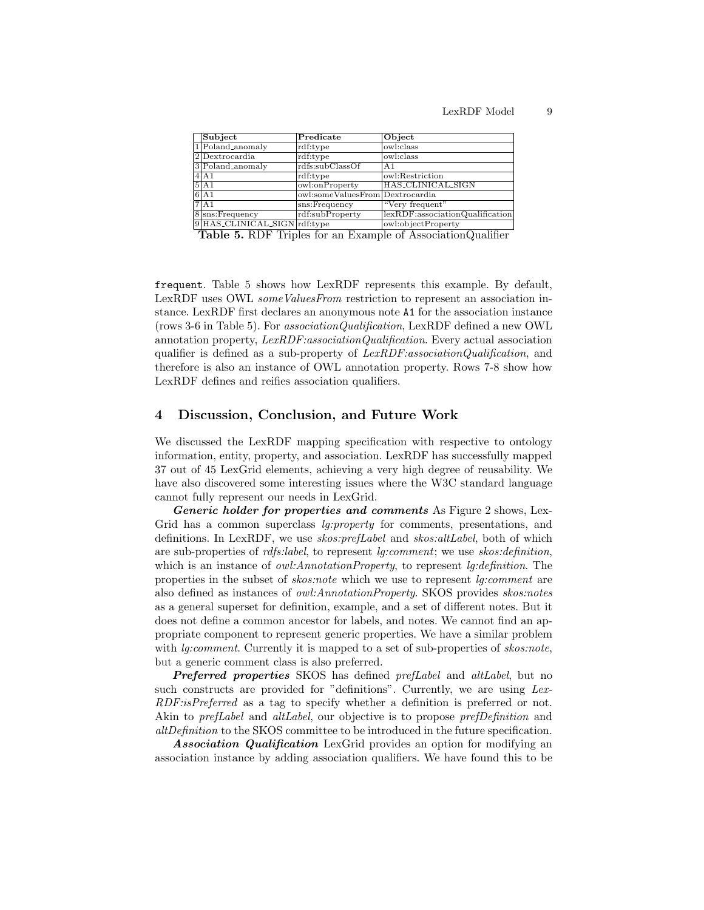| Subject                      | Predicate                       | Object                          |
|------------------------------|---------------------------------|---------------------------------|
| $1$ Poland_anomaly           | rdf:type                        | owl:class                       |
| 2Dextrocardia                | $\text{rdf:type}$               | owl:class                       |
| 3 Poland_anomaly             | rdfs:subClassOf                 | A <sub>1</sub>                  |
| $4$ $A1$                     | rdf:type                        | owl:Restriction                 |
| 5 A1                         | owl:onProperty                  | <b>HAS_CLINICAL_SIGN</b>        |
| 6 A1                         | owl:someValuesFrom Dextrocardia |                                 |
| 7A1                          | sns:Frequency                   | "Very frequent"                 |
| $8$ sns: Frequency           | rdf:subProperty                 | lexRDF:associationQualification |
| 9 HAS_CLINICAL_SIGN rdf:type |                                 | owl:objectProperty              |

Table 5. RDF Triples for an Example of AssociationQualifier

frequent. Table 5 shows how LexRDF represents this example. By default, LexRDF uses OWL *someValuesFrom* restriction to represent an association instance. LexRDF first declares an anonymous note A1 for the association instance (rows 3-6 in Table 5). For associationQualification, LexRDF defined a new OWL annotation property, LexRDF:associationQualification. Every actual association qualifier is defined as a sub-property of LexRDF:associationQualification, and therefore is also an instance of OWL annotation property. Rows 7-8 show how LexRDF defines and reifies association qualifiers.

# 4 Discussion, Conclusion, and Future Work

We discussed the LexRDF mapping specification with respective to ontology information, entity, property, and association. LexRDF has successfully mapped 37 out of 45 LexGrid elements, achieving a very high degree of reusability. We have also discovered some interesting issues where the W3C standard language cannot fully represent our needs in LexGrid.

Generic holder for properties and comments As Figure 2 shows, Lex-Grid has a common superclass *lg:property* for comments, presentations, and definitions. In LexRDF, we use *skos:prefLabel* and *skos:altLabel*, both of which are sub-properties of rdfs:label, to represent lg:comment; we use skos:definition, which is an instance of *owl:AnnotationProperty*, to represent *lg:definition*. The properties in the subset of skos:note which we use to represent lg:comment are also defined as instances of owl:AnnotationProperty. SKOS provides skos:notes as a general superset for definition, example, and a set of different notes. But it does not define a common ancestor for labels, and notes. We cannot find an appropriate component to represent generic properties. We have a similar problem with *lg:comment*. Currently it is mapped to a set of sub-properties of *skos:note*, but a generic comment class is also preferred.

Preferred properties SKOS has defined prefLabel and altLabel, but no such constructs are provided for "definitions". Currently, we are using Lex-RDF:isPreferred as a tag to specify whether a definition is preferred or not. Akin to *prefLabel* and *altLabel*, our objective is to propose *prefDefinition* and altDefinition to the SKOS committee to be introduced in the future specification.

Association Qualification LexGrid provides an option for modifying an association instance by adding association qualifiers. We have found this to be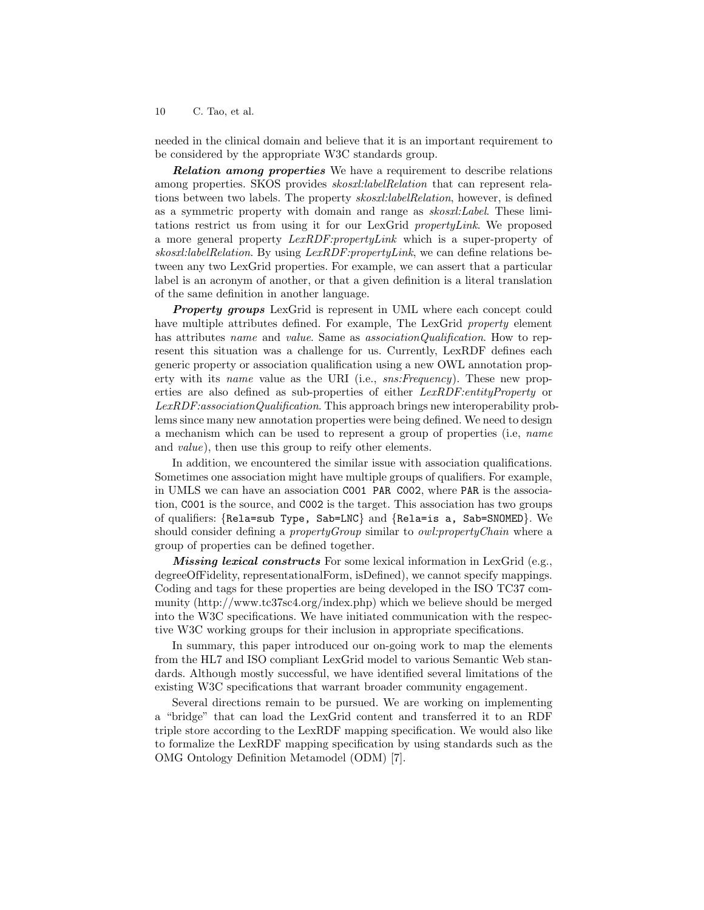needed in the clinical domain and believe that it is an important requirement to be considered by the appropriate W3C standards group.

**Relation among properties** We have a requirement to describe relations among properties. SKOS provides skosxl:labelRelation that can represent relations between two labels. The property *skosxl:labelRelation*, however, is defined as a symmetric property with domain and range as skosxl:Label. These limitations restrict us from using it for our LexGrid propertyLink. We proposed a more general property LexRDF:propertyLink which is a super-property of skosxl:labelRelation. By using LexRDF:propertyLink, we can define relations between any two LexGrid properties. For example, we can assert that a particular label is an acronym of another, or that a given definition is a literal translation of the same definition in another language.

**Property groups** LexGrid is represent in UML where each concept could have multiple attributes defined. For example, The LexGrid *property* element has attributes *name* and *value*. Same as *associationQualification*. How to represent this situation was a challenge for us. Currently, LexRDF defines each generic property or association qualification using a new OWL annotation property with its *name* value as the URI (i.e., *sns:Frequency*). These new properties are also defined as sub-properties of either LexRDF:entityProperty or LexRDF:associationQualification. This approach brings new interoperability problems since many new annotation properties were being defined. We need to design a mechanism which can be used to represent a group of properties (i.e, name and value), then use this group to reify other elements.

In addition, we encountered the similar issue with association qualifications. Sometimes one association might have multiple groups of qualifiers. For example, in UMLS we can have an association C001 PAR C002, where PAR is the association, C001 is the source, and C002 is the target. This association has two groups of qualifiers: {Rela=sub Type, Sab=LNC} and {Rela=is a, Sab=SNOMED}. We should consider defining a *propertyGroup* similar to *owl:propertyChain* where a group of properties can be defined together.

Missing lexical constructs For some lexical information in LexGrid (e.g., degreeOfFidelity, representationalForm, isDefined), we cannot specify mappings. Coding and tags for these properties are being developed in the ISO TC37 community (http://www.tc37sc4.org/index.php) which we believe should be merged into the W3C specifications. We have initiated communication with the respective W3C working groups for their inclusion in appropriate specifications.

In summary, this paper introduced our on-going work to map the elements from the HL7 and ISO compliant LexGrid model to various Semantic Web standards. Although mostly successful, we have identified several limitations of the existing W3C specifications that warrant broader community engagement.

Several directions remain to be pursued. We are working on implementing a "bridge" that can load the LexGrid content and transferred it to an RDF triple store according to the LexRDF mapping specification. We would also like to formalize the LexRDF mapping specification by using standards such as the OMG Ontology Definition Metamodel (ODM) [7].